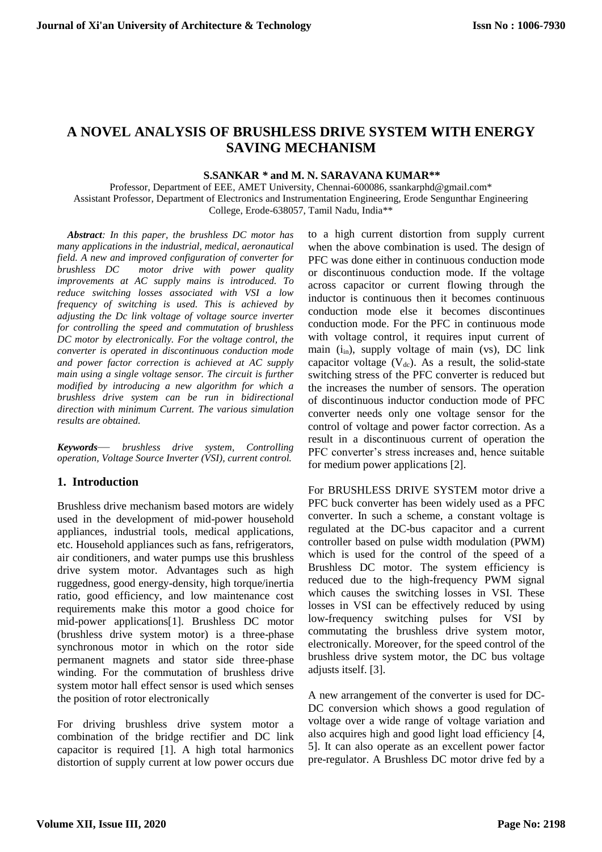# **A NOVEL ANALYSIS OF BRUSHLESS DRIVE SYSTEM WITH ENERGY SAVING MECHANISM**

 **S.SANKAR** *\** **and M. N. SARAVANA KUMAR\*\***

Professor, Department of EEE, AMET University, Chennai-600086, ssankarphd@gmail.com\* Assistant Professor, Department of Electronics and Instrumentation Engineering, Erode Sengunthar Engineering College, Erode-638057, Tamil Nadu, India\*\*

*Abstract: In this paper, the brushless DC motor has many applications in the industrial, medical, aeronautical field. A new and improved configuration of converter for brushless DC motor drive with power quality improvements at AC supply mains is introduced. To reduce switching losses associated with VSI a low frequency of switching is used. This is achieved by adjusting the Dc link voltage of voltage source inverter for controlling the speed and commutation of brushless DC motor by electronically. For the voltage control, the converter is operated in discontinuous conduction mode and power factor correction is achieved at AC supply main using a single voltage sensor. The circuit is further modified by introducing a new algorithm for which a brushless drive system can be run in bidirectional direction with minimum Current. The various simulation results are obtained.*

*Keywords*— *brushless drive system, Controlling operation, Voltage Source Inverter (VSI), current control.*

## **1. Introduction**

Brushless drive mechanism based motors are widely used in the development of mid-power household appliances, industrial tools, medical applications, etc. Household appliances such as fans, refrigerators, air conditioners, and water pumps use this brushless drive system motor. Advantages such as high ruggedness, good energy-density, high torque/inertia ratio, good efficiency, and low maintenance cost requirements make this motor a good choice for mid-power applications[1]. Brushless DC motor (brushless drive system motor) is a three-phase synchronous motor in which on the rotor side permanent magnets and stator side three-phase winding. For the commutation of brushless drive system motor hall effect sensor is used which senses the position of rotor electronically

For driving brushless drive system motor a combination of the bridge rectifier and DC link capacitor is required [1]. A high total harmonics distortion of supply current at low power occurs due

to a high current distortion from supply current when the above combination is used. The design of PFC was done either in continuous conduction mode or discontinuous conduction mode. If the voltage across capacitor or current flowing through the inductor is continuous then it becomes continuous conduction mode else it becomes discontinues conduction mode. For the PFC in continuous mode with voltage control, it requires input current of main (i<sub>in</sub>), supply voltage of main (vs), DC link capacitor voltage  $(V_{dc})$ . As a result, the solid-state switching stress of the PFC converter is reduced but the increases the number of sensors. The operation of discontinuous inductor conduction mode of PFC converter needs only one voltage sensor for the control of voltage and power factor correction. As a result in a discontinuous current of operation the PFC converter's stress increases and, hence suitable for medium power applications [2].

For BRUSHLESS DRIVE SYSTEM motor drive a PFC buck converter has been widely used as a PFC converter. In such a scheme, a constant voltage is regulated at the DC-bus capacitor and a current controller based on pulse width modulation (PWM) which is used for the control of the speed of a Brushless DC motor. The system efficiency is reduced due to the high-frequency PWM signal which causes the switching losses in VSI. These losses in VSI can be effectively reduced by using low-frequency switching pulses for VSI by commutating the brushless drive system motor, electronically. Moreover, for the speed control of the brushless drive system motor, the DC bus voltage adjusts itself. [3].

A new arrangement of the converter is used for DC-DC conversion which shows a good regulation of voltage over a wide range of voltage variation and also acquires high and good light load efficiency [4, 5]. It can also operate as an excellent power factor pre-regulator. A Brushless DC motor drive fed by a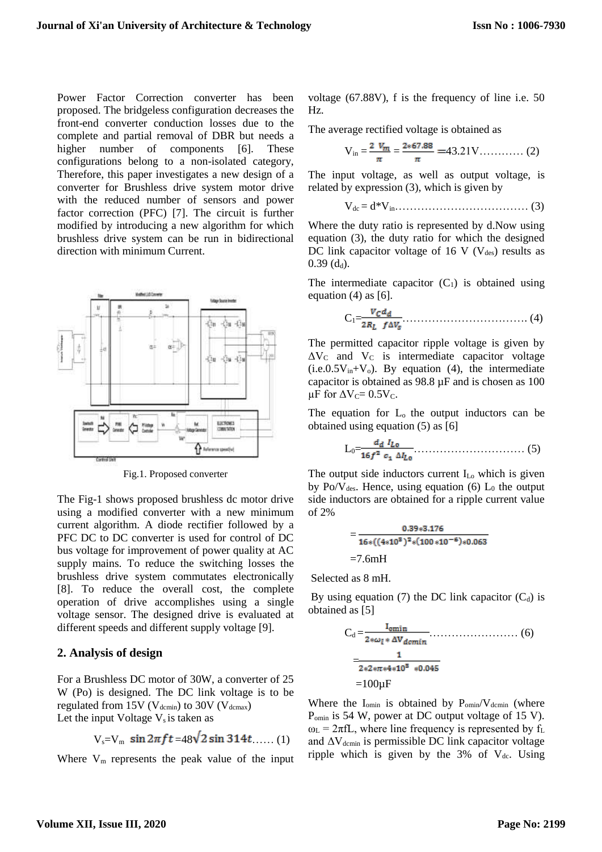Power Factor Correction converter has been proposed. The bridgeless configuration decreases the front-end converter conduction losses due to the complete and partial removal of DBR but needs a higher number of components [6]. These configurations belong to a non-isolated category, Therefore, this paper investigates a new design of a converter for Brushless drive system motor drive with the reduced number of sensors and power factor correction (PFC) [7]. The circuit is further modified by introducing a new algorithm for which brushless drive system can be run in bidirectional direction with minimum Current.



Fig.1. Proposed converter

The Fig-1 shows proposed brushless dc motor drive using a modified converter with a new minimum current algorithm. A diode rectifier followed by a PFC DC to DC converter is used for control of DC bus voltage for improvement of power quality at AC supply mains. To reduce the switching losses the brushless drive system commutates electronically [8]. To reduce the overall cost, the complete operation of drive accomplishes using a single voltage sensor. The designed drive is evaluated at different speeds and different supply voltage [9].

#### **2. Analysis of design**

For a Brushless DC motor of 30W, a converter of 25 W (Po) is designed. The DC link voltage is to be regulated from 15V ( $V_{\text{demin}}$ ) to 30V ( $V_{\text{dcmax}}$ ) Let the input Voltage  $V_s$  is taken as

$$
V_s = V_m \sin 2\pi ft = 48\sqrt{2} \sin 314t \dots (1)
$$

Where  $V_m$  represents the peak value of the input

voltage (67.88V), f is the frequency of line i.e. 50 Hz.

The average rectified voltage is obtained as

$$
V_{in} = \frac{2 V_m}{\pi} = \frac{2*67.88}{\pi} = 43.21 V \dots \dots \dots \dots (2)
$$

The input voltage, as well as output voltage, is related by expression (3), which is given by

Vdc = d\*Vin……………………………… (3)

Where the duty ratio is represented by d.Now using equation (3), the duty ratio for which the designed DC link capacitor voltage of 16 V ( $V_{des}$ ) results as  $0.39$  (d<sub>d</sub>).

The intermediate capacitor  $(C_1)$  is obtained using equation  $(4)$  as  $[6]$ .

$$
C_1 = \frac{V_C d_d}{2R_L f \Delta V_s} \tag{4}
$$

The permitted capacitor ripple voltage is given by  $\Delta V_C$  and  $V_C$  is intermediate capacitor voltage  $(i.e.0.5V<sub>in</sub>+V<sub>o</sub>)$ . By equation (4), the intermediate capacitor is obtained as 98.8 µF and is chosen as 100  $\mu$ F for  $\Delta V_C$ = 0.5V<sub>C</sub>.

The equation for L<sub>o</sub> the output inductors can be obtained using equation (5) as [6]

$$
L_0 = \frac{d_d \; I_{L_0}}{16f^2 \; c_1 \; \Delta I_{L_0}} \; \ldots \; \ldots \; \ldots \; \ldots \; \ldots \; \ldots \; \; (5)
$$

The output side inductors current I<sub>Lo</sub> which is given by Po/V<sub>des</sub>. Hence, using equation (6)  $L_0$  the output side inductors are obtained for a ripple current value of 2%

$$
=\frac{0.39*3.176}{16*((4*108)2*(100*10-6)*0.063}
$$
  
=7.6mH

Selected as 8 mH.

By using equation (7) the DC link capacitor  $(C_d)$  is obtained as [5]

Cd = …………………… (6) = =100µF

Where the  $I_{\text{omin}}$  is obtained by  $P_{\text{omin}}/V_{\text{demin}}$  (where Pomin is 54 W, power at DC output voltage of 15 V).  $\omega_L = 2\pi fL$ , where line frequency is represented by f<sub>L</sub> and  $\Delta V_{\text{demin}}$  is permissible DC link capacitor voltage ripple which is given by the  $3\%$  of  $V_{dc}$ . Using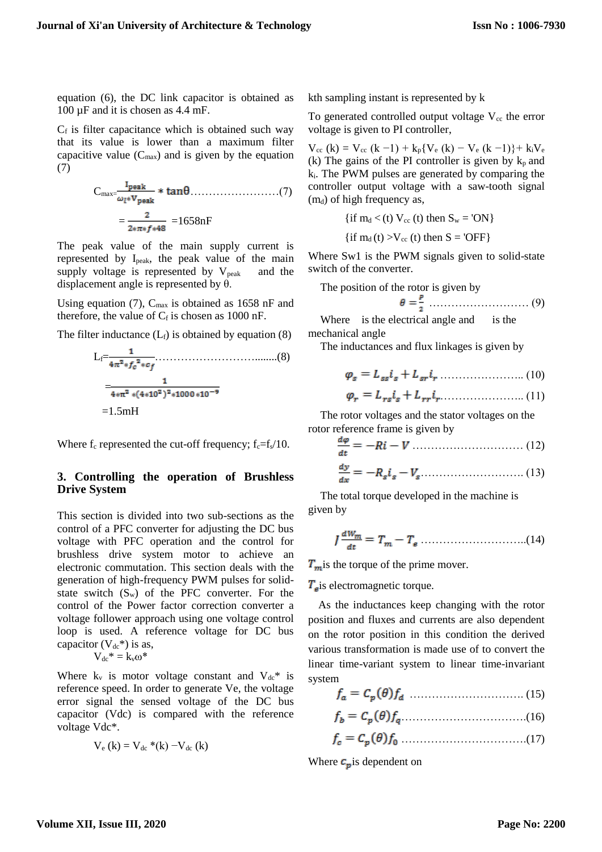equation (6), the DC link capacitor is obtained as 100 µF and it is chosen as 4.4 mF.

 $C_f$  is filter capacitance which is obtained such way that its value is lower than a maximum filter capacitive value  $(C_{\text{max}})$  and is given by the equation (7)

Cmax= ……………………(7) = =1658nF

The peak value of the main supply current is represented by Ipeak, the peak value of the main supply voltage is represented by  $V_{peak}$  and the displacement angle is represented by  $\theta$ .

Using equation (7),  $C_{\text{max}}$  is obtained as 1658 nF and therefore, the value of  $C_f$  is chosen as 1000 nF.

The filter inductance  $(L_f)$  is obtained by equation (8)

$$
L_f = \frac{1}{4\pi^2 * f_c^2 * c_f}
$$
\n
$$
= \frac{1}{4*\pi^2 * (4*10^2)^2 * 1000 * 10^{-9}}
$$
\n
$$
= 1.5 \text{mH}
$$

Where  $f_c$  represented the cut-off frequency;  $f_c = f_s/10$ .

#### **3. Controlling the operation of Brushless Drive System**

This section is divided into two sub-sections as the control of a PFC converter for adjusting the DC bus voltage with PFC operation and the control for brushless drive system motor to achieve an electronic commutation. This section deals with the generation of high-frequency PWM pulses for solidstate switch  $(S_w)$  of the PFC converter. For the control of the Power factor correction converter a voltage follower approach using one voltage control loop is used. A reference voltage for DC bus capacitor  $(V_{dc}^*)$  is as,

$$
V_{dc}^* = k_v \omega^*
$$

Where  $k_v$  is motor voltage constant and  $V_{dc}$ <sup>\*</sup> is reference speed. In order to generate Ve, the voltage error signal the sensed voltage of the DC bus capacitor (Vdc) is compared with the reference voltage Vdc\*.

$$
V_e(k) = V_{dc} * (k) - V_{dc}(k)
$$

kth sampling instant is represented by k

To generated controlled output voltage  $V_{cc}$  the error voltage is given to PI controller,

 $V_{cc}$  (k) =  $V_{cc}$  (k -1) + k<sub>p</sub>{ $V_{e}$  (k) -  $V_{e}$  (k -1)}+ k<sub>i</sub> $V_{e}$ (k) The gains of the PI controller is given by  $k_p$  and ki. The PWM pulses are generated by comparing the controller output voltage with a saw-tooth signal  $(m_d)$  of high frequency as,

$$
\{ \text{if } m_d < (t) \ V_{cc} \text{ (t) then } S_w = 'ON \}
$$
\n
$$
\{ \text{if } m_d \text{ (t)} > V_{cc} \text{ (t) then } S = 'OFF \}
$$

Where Sw1 is the PWM signals given to solid-state switch of the converter.

The position of the rotor is given by

$$
\theta = \frac{P}{2} \dots \dots \dots \dots \dots \dots \dots \dots \dots \dots \dots \quad (9)
$$

Where is the electrical angle and is the mechanical angle

The inductances and flux linkages is given by

………………….. (10) 

………………….. (11) 

The rotor voltages and the stator voltages on the rotor reference frame is given by

………………………… (12) 

$$
\frac{dy}{dx} = -R_s i_s - V_s \tag{13}
$$

The total torque developed in the machine is given by

………………………..(14)

 $T_m$  is the torque of the prime mover.

 $T<sub>el</sub>$ is electromagnetic torque.

As the inductances keep changing with the rotor position and fluxes and currents are also dependent on the rotor position in this condition the derived various transformation is made use of to convert the linear time-variant system to linear time-invariant system

$$
f_a = C_p(\theta) f_d \quad \dots \quad \dots \quad \dots \quad \dots \quad (15)
$$

…………………………….(16)

…………………………….(17) 

Where  $c_p$  is dependent on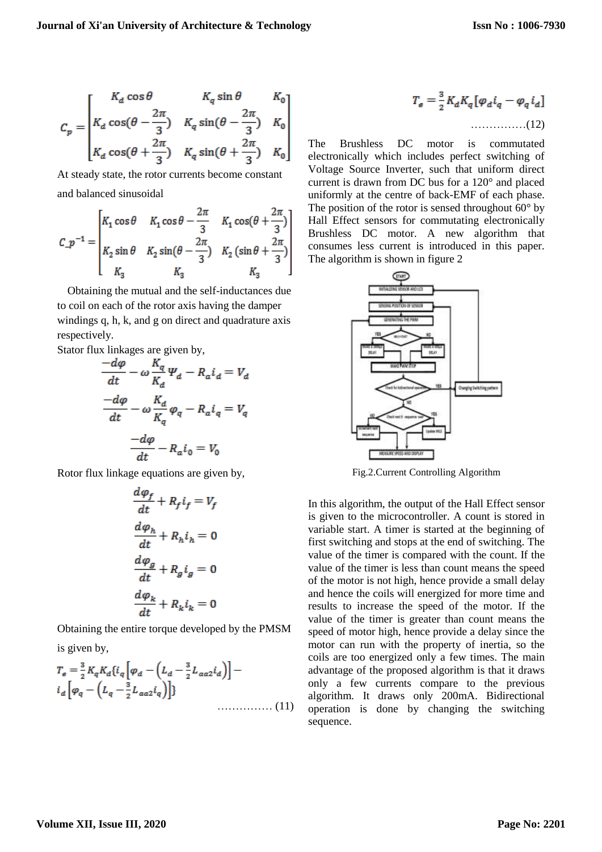$$
C_p = \begin{bmatrix} K_d \cos \theta & K_q \sin \theta & K_0 \\ K_d \cos(\theta - \frac{2\pi}{3}) & K_q \sin(\theta - \frac{2\pi}{3}) & K_0 \\ K_d \cos(\theta + \frac{2\pi}{3}) & K_q \sin(\theta + \frac{2\pi}{3}) & K_0 \end{bmatrix}
$$

At steady state, the rotor currents become constant and balanced sinusoidal

$$
C_{-}p^{-1} = \begin{bmatrix} K_{1} \cos \theta & K_{1} \cos \theta - \frac{2\pi}{3} & K_{1} \cos(\theta + \frac{2\pi}{3}) \\ K_{2} \sin \theta & K_{2} \sin(\theta - \frac{2\pi}{3}) & K_{2} \left( \sin \theta + \frac{2\pi}{3} \right) \\ K_{3} & K_{3} & K_{3} \end{bmatrix}
$$

Obtaining the mutual and the self-inductances due to coil on each of the rotor axis having the damper windings q, h, k, and g on direct and quadrature axis respectively.

Stator flux linkages are given by,

$$
\frac{-d\varphi}{dt} - \omega \frac{K_q}{K_d} \varphi_d - R_a i_d = V_d
$$

$$
\frac{-d\varphi}{dt} - \omega \frac{K_d}{K_q} \varphi_q - R_a i_q = V_q
$$

$$
\frac{-d\varphi}{dt} - R_a i_0 = V_0
$$

Rotor flux linkage equations are given by,

$$
\frac{d\varphi_f}{dt} + R_f i_f = V_f
$$

$$
\frac{d\varphi_h}{dt} + R_h i_h = 0
$$

$$
\frac{d\varphi_g}{dt} + R_g i_g = 0
$$

$$
\frac{d\varphi_k}{dt} + R_k i_k = 0
$$

Obtaining the entire torque developed by the PMSM is given by,

$$
T_e = \frac{3}{2} K_q K_d \{i_q \left[ \varphi_d - \left( L_d - \frac{3}{2} L_{aa2} i_d \right) \right] - i_d \left[ \varphi_q - \left( L_q - \frac{3}{2} L_{aa2} i_q \right) \right] \}
$$
\n
$$
\dots \dots \dots \dots \dots \dots \tag{11}
$$

$$
T_e = \frac{3}{2} K_d K_q \left[ \varphi_d i_q - \varphi_q i_d \right]
$$
  
............(12)

The Brushless DC motor is commutated electronically which includes perfect switching of Voltage Source Inverter, such that uniform direct current is drawn from DC bus for a 120° and placed uniformly at the centre of back-EMF of each phase. The position of the rotor is sensed throughout  $60^{\circ}$  by Hall Effect sensors for commutating electronically Brushless DC motor. A new algorithm that consumes less current is introduced in this paper. The algorithm is shown in figure 2



Fig.2.Current Controlling Algorithm

In this algorithm, the output of the Hall Effect sensor is given to the microcontroller. A count is stored in variable start. A timer is started at the beginning of first switching and stops at the end of switching. The value of the timer is compared with the count. If the value of the timer is less than count means the speed of the motor is not high, hence provide a small delay and hence the coils will energized for more time and results to increase the speed of the motor. If the value of the timer is greater than count means the speed of motor high, hence provide a delay since the motor can run with the property of inertia, so the coils are too energized only a few times. The main advantage of the proposed algorithm is that it draws only a few currents compare to the previous algorithm. It draws only 200mA. Bidirectional operation is done by changing the switching sequence.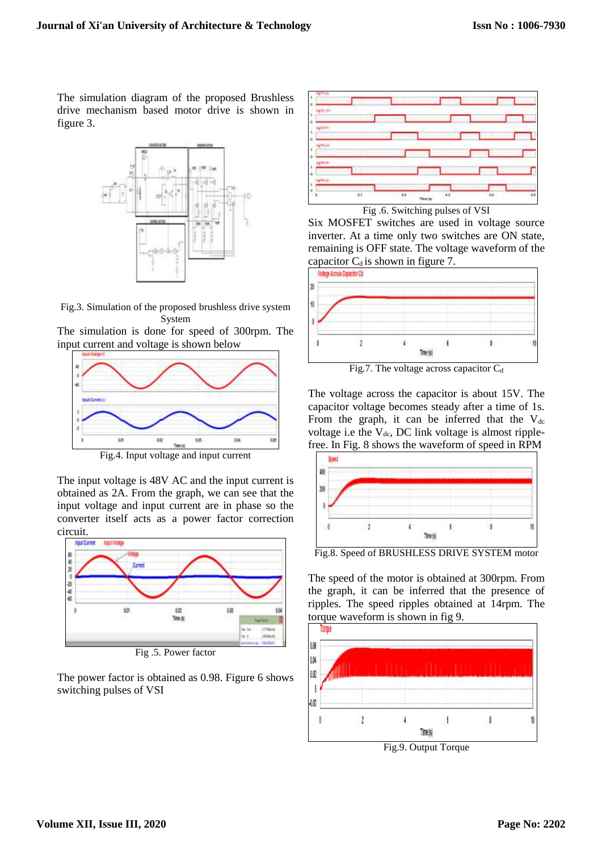The simulation diagram of the proposed Brushless drive mechanism based motor drive is shown in figure 3.



Fig.3. Simulation of the proposed brushless drive system System

The simulation is done for speed of 300rpm. The input current and voltage is shown below



Fig.4. Input voltage and input current

The input voltage is 48V AC and the input current is obtained as 2A. From the graph, we can see that the input voltage and input current are in phase so the converter itself acts as a power factor correction circuit.



Fig .5. Power factor

The power factor is obtained as 0.98. Figure 6 shows switching pulses of VSI



Six MOSFET switches are used in voltage source inverter. At a time only two switches are ON state, remaining is OFF state. The voltage waveform of the capacitor  $C_d$  is shown in figure 7.



Fig.7. The voltage across capacitor  $C_d$ 

The voltage across the capacitor is about 15V. The capacitor voltage becomes steady after a time of 1s. From the graph, it can be inferred that the  $V_{dc}$ voltage i.e the  $V_{dc}$ , DC link voltage is almost ripplefree. In Fig. 8 shows the waveform of speed in RPM



Fig.8. Speed of BRUSHLESS DRIVE SYSTEM motor

The speed of the motor is obtained at 300rpm. From the graph, it can be inferred that the presence of ripples. The speed ripples obtained at 14rpm. The torque waveform is shown in fig 9.



Fig.9. Output Torque